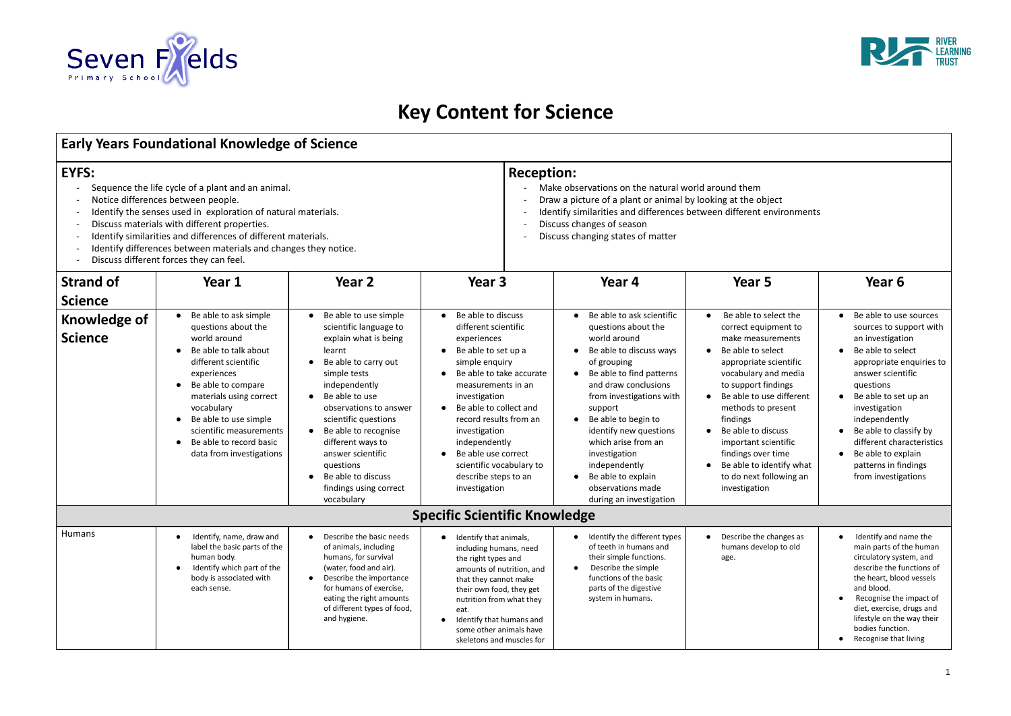

# **Key Content for Science**

## **Early Years Foundational Knowledge of Science**

- 
- 
- 
- 
- 
- 
- 

|                                                                                                                                                                                                                                                                                                                                                                                                                    | Early Years Foundational Knowledge of Science                                                                                                                                                                                                                                                                       |                                                                                                                                                                                                                                                                                                                                                                            |                                                                                                                                                                                                                                                                                                                                                                                                             |                                                                                                                                                                                                                                                                                                                                                                                       |                                                                                                                                                                                                                                                                                                                                                                                                                                |                                                                                                                                                                                                                                                                                                                                                             |  |
|--------------------------------------------------------------------------------------------------------------------------------------------------------------------------------------------------------------------------------------------------------------------------------------------------------------------------------------------------------------------------------------------------------------------|---------------------------------------------------------------------------------------------------------------------------------------------------------------------------------------------------------------------------------------------------------------------------------------------------------------------|----------------------------------------------------------------------------------------------------------------------------------------------------------------------------------------------------------------------------------------------------------------------------------------------------------------------------------------------------------------------------|-------------------------------------------------------------------------------------------------------------------------------------------------------------------------------------------------------------------------------------------------------------------------------------------------------------------------------------------------------------------------------------------------------------|---------------------------------------------------------------------------------------------------------------------------------------------------------------------------------------------------------------------------------------------------------------------------------------------------------------------------------------------------------------------------------------|--------------------------------------------------------------------------------------------------------------------------------------------------------------------------------------------------------------------------------------------------------------------------------------------------------------------------------------------------------------------------------------------------------------------------------|-------------------------------------------------------------------------------------------------------------------------------------------------------------------------------------------------------------------------------------------------------------------------------------------------------------------------------------------------------------|--|
| EYFS:<br>Sequence the life cycle of a plant and an animal.<br>$\blacksquare$<br>Notice differences between people.<br>Identify the senses used in exploration of natural materials.<br>Discuss materials with different properties.<br>Identify similarities and differences of different materials.<br>Identify differences between materials and changes they notice.<br>Discuss different forces they can feel. |                                                                                                                                                                                                                                                                                                                     |                                                                                                                                                                                                                                                                                                                                                                            |                                                                                                                                                                                                                                                                                                                                                                                                             | <b>Reception:</b><br>Make observations on the natural world around them<br>Draw a picture of a plant or animal by looking at the object<br>Identify similarities and differences between different environments<br>Discuss changes of season<br>Discuss changing states of matter                                                                                                     |                                                                                                                                                                                                                                                                                                                                                                                                                                |                                                                                                                                                                                                                                                                                                                                                             |  |
| <b>Strand of</b><br><b>Science</b>                                                                                                                                                                                                                                                                                                                                                                                 | Year 1                                                                                                                                                                                                                                                                                                              | Year <sub>2</sub>                                                                                                                                                                                                                                                                                                                                                          | Year <sub>3</sub>                                                                                                                                                                                                                                                                                                                                                                                           | Year 4                                                                                                                                                                                                                                                                                                                                                                                | Year 5                                                                                                                                                                                                                                                                                                                                                                                                                         | Year 6                                                                                                                                                                                                                                                                                                                                                      |  |
| Knowledge of<br><b>Science</b>                                                                                                                                                                                                                                                                                                                                                                                     | Be able to ask simple<br>$\bullet$<br>questions about the<br>world around<br>Be able to talk about<br>different scientific<br>experiences<br>Be able to compare<br>materials using correct<br>vocabulary<br>Be able to use simple<br>scientific measurements<br>Be able to record basic<br>data from investigations | • Be able to use simple<br>scientific language to<br>explain what is being<br>learnt<br>Be able to carry out<br>simple tests<br>independently<br>$\bullet$ Be able to use<br>observations to answer<br>scientific questions<br>• Be able to recognise<br>different ways to<br>answer scientific<br>questions<br>Be able to discuss<br>findings using correct<br>vocabulary | Be able to discuss<br>$\bullet$<br>different scientific<br>experiences<br>Be able to set up a<br>$\bullet$<br>simple enquiry<br>Be able to take accurate<br>measurements in an<br>investigation<br>Be able to collect and<br>$\bullet$<br>record results from an<br>investigation<br>independently<br>Be able use correct<br>$\bullet$<br>scientific vocabulary to<br>describe steps to an<br>investigation | Be able to ask scientific<br>questions about the<br>world around<br>Be able to discuss ways<br>of grouping<br>Be able to find patterns<br>and draw conclusions<br>from investigations with<br>support<br>Be able to begin to<br>identify new questions<br>which arise from an<br>investigation<br>independently<br>Be able to explain<br>observations made<br>during an investigation | Be able to select the<br>$\bullet$<br>correct equipment to<br>make measurements<br>Be able to select<br>$\bullet$<br>appropriate scientific<br>vocabulary and media<br>to support findings<br>Be able to use different<br>$\bullet$<br>methods to present<br>findings<br>Be able to discuss<br>$\bullet$<br>important scientific<br>findings over time<br>Be able to identify what<br>to do next following an<br>investigation | Be able to use sources<br>sources to support with<br>an investigation<br>Be able to select<br>appropriate enquiries to<br>answer scientific<br>questions<br>Be able to set up an<br>$\bullet$<br>investigation<br>independently<br>Be able to classify by<br>different characteristics<br>Be able to explain<br>patterns in findings<br>from investigations |  |
|                                                                                                                                                                                                                                                                                                                                                                                                                    |                                                                                                                                                                                                                                                                                                                     |                                                                                                                                                                                                                                                                                                                                                                            | <b>Specific Scientific Knowledge</b>                                                                                                                                                                                                                                                                                                                                                                        |                                                                                                                                                                                                                                                                                                                                                                                       |                                                                                                                                                                                                                                                                                                                                                                                                                                |                                                                                                                                                                                                                                                                                                                                                             |  |
| Humans                                                                                                                                                                                                                                                                                                                                                                                                             | Identify, name, draw and<br>label the basic parts of the<br>human body.<br>Identify which part of the<br>body is associated with<br>each sense.                                                                                                                                                                     | Describe the basic needs<br>of animals, including<br>humans, for survival<br>(water, food and air).<br>Describe the importance<br>for humans of exercise,<br>eating the right amounts<br>of different types of food,<br>and hygiene.                                                                                                                                       | Identify that animals,<br>including humans, need<br>the right types and<br>amounts of nutrition, and<br>that they cannot make<br>their own food, they get<br>nutrition from what they<br>eat.<br>Identify that humans and<br>$\bullet$<br>some other animals have<br>skeletons and muscles for                                                                                                              | Identify the different types<br>of teeth in humans and<br>their simple functions.<br>Describe the simple<br>functions of the basic<br>parts of the digestive<br>system in humans.                                                                                                                                                                                                     | Describe the changes as<br>humans develop to old<br>age.                                                                                                                                                                                                                                                                                                                                                                       | Identify and name the<br>main parts of the human<br>circulatory system, and<br>describe the functions of<br>the heart, blood vessels<br>and blood.<br>Recognise the impact of<br>diet, exercise, drugs and<br>lifestyle on the way their<br>bodies function.<br>Recognise that living                                                                       |  |

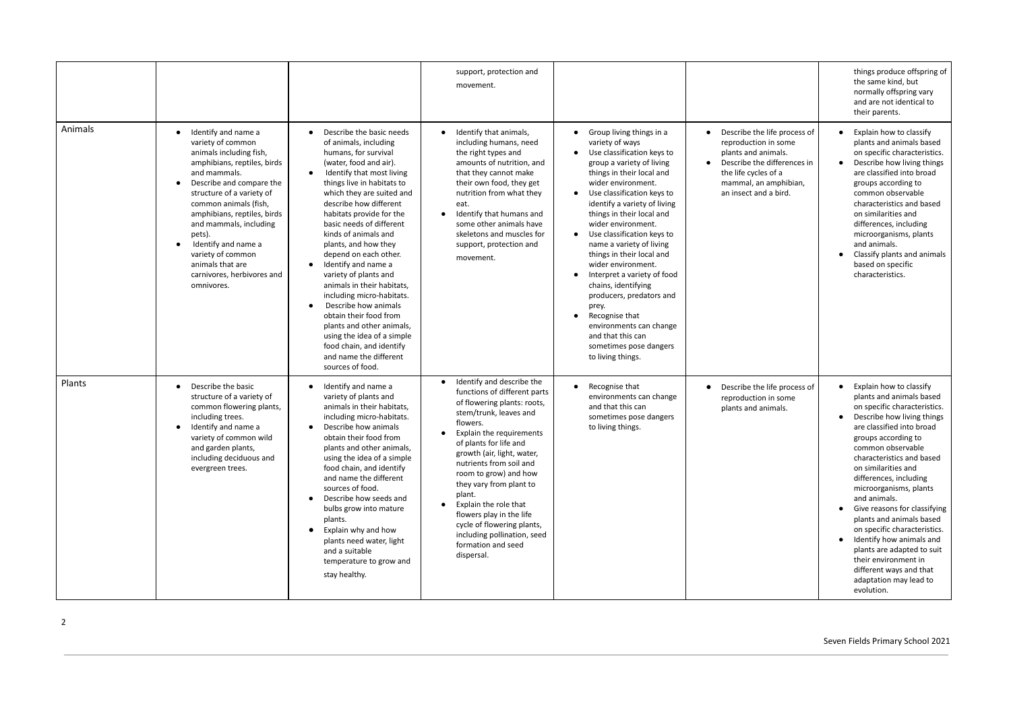|         |                                                                                                                                                                                                                                                                                                                                                                                                  |                                                                                                                                                                                                                                                                                                                                                                                                                                                                                                                                                                                                                                                          | support, protection and<br>movement.                                                                                                                                                                                                                                                                                                                                                                                                                                                        |                                                                                                                                                                                                                                                                                                                                                                                                                                                                                                                                                                                                                                                         |                                                                                                                                                                                                   | things produce offspring of<br>the same kind, but<br>normally offspring vary<br>and are not identical to<br>their parents.                                                                                                                                                                                                                                                                                                                                                                                                                                                       |
|---------|--------------------------------------------------------------------------------------------------------------------------------------------------------------------------------------------------------------------------------------------------------------------------------------------------------------------------------------------------------------------------------------------------|----------------------------------------------------------------------------------------------------------------------------------------------------------------------------------------------------------------------------------------------------------------------------------------------------------------------------------------------------------------------------------------------------------------------------------------------------------------------------------------------------------------------------------------------------------------------------------------------------------------------------------------------------------|---------------------------------------------------------------------------------------------------------------------------------------------------------------------------------------------------------------------------------------------------------------------------------------------------------------------------------------------------------------------------------------------------------------------------------------------------------------------------------------------|---------------------------------------------------------------------------------------------------------------------------------------------------------------------------------------------------------------------------------------------------------------------------------------------------------------------------------------------------------------------------------------------------------------------------------------------------------------------------------------------------------------------------------------------------------------------------------------------------------------------------------------------------------|---------------------------------------------------------------------------------------------------------------------------------------------------------------------------------------------------|----------------------------------------------------------------------------------------------------------------------------------------------------------------------------------------------------------------------------------------------------------------------------------------------------------------------------------------------------------------------------------------------------------------------------------------------------------------------------------------------------------------------------------------------------------------------------------|
| Animals | Identify and name a<br>$\bullet$<br>variety of common<br>animals including fish,<br>amphibians, reptiles, birds<br>and mammals.<br>Describe and compare the<br>structure of a variety of<br>common animals (fish,<br>amphibians, reptiles, birds<br>and mammals, including<br>pets).<br>Identify and name a<br>variety of common<br>animals that are<br>carnivores, herbivores and<br>omnivores. | Describe the basic needs<br>of animals, including<br>humans, for survival<br>(water, food and air).<br>Identify that most living<br>things live in habitats to<br>which they are suited and<br>describe how different<br>habitats provide for the<br>basic needs of different<br>kinds of animals and<br>plants, and how they<br>depend on each other.<br>Identify and name a<br>variety of plants and<br>animals in their habitats,<br>including micro-habitats.<br>Describe how animals<br>obtain their food from<br>plants and other animals,<br>using the idea of a simple<br>food chain, and identify<br>and name the different<br>sources of food. | Identify that animals,<br>including humans, need<br>the right types and<br>amounts of nutrition, and<br>that they cannot make<br>their own food, they get<br>nutrition from what they<br>eat.<br>Identify that humans and<br>$\bullet$<br>some other animals have<br>skeletons and muscles for<br>support, protection and<br>movement.                                                                                                                                                      | Group living things in a<br>$\bullet$<br>variety of ways<br>Use classification keys to<br>group a variety of living<br>things in their local and<br>wider environment.<br>Use classification keys to<br>$\bullet$<br>identify a variety of living<br>things in their local and<br>wider environment.<br>Use classification keys to<br>$\bullet$<br>name a variety of living<br>things in their local and<br>wider environment.<br>Interpret a variety of food<br>chains, identifying<br>producers, predators and<br>prey.<br>Recognise that<br>$\bullet$<br>environments can change<br>and that this can<br>sometimes pose dangers<br>to living things. | Describe the life process of<br>reproduction in some<br>plants and animals.<br>Describe the differences in<br>$\bullet$<br>the life cycles of a<br>mammal, an amphibian,<br>an insect and a bird. | Explain how to classify<br>$\bullet$<br>plants and animals based<br>on specific characteristics.<br>Describe how living things<br>are classified into broad<br>groups according to<br>common observable<br>characteristics and based<br>on similarities and<br>differences, including<br>microorganisms, plants<br>and animals.<br>Classify plants and animals<br>based on specific<br>characteristics.                                                                                                                                                                          |
| Plants  | Describe the basic<br>$\bullet$<br>structure of a variety of<br>common flowering plants,<br>including trees.<br>Identify and name a<br>variety of common wild<br>and garden plants,<br>including deciduous and<br>evergreen trees.                                                                                                                                                               | Identify and name a<br>variety of plants and<br>animals in their habitats,<br>including micro-habitats.<br>Describe how animals<br>obtain their food from<br>plants and other animals,<br>using the idea of a simple<br>food chain, and identify<br>and name the different<br>sources of food.<br>Describe how seeds and<br>bulbs grow into mature<br>plants.<br>Explain why and how<br>plants need water, light<br>and a suitable<br>temperature to grow and<br>stay healthy.                                                                                                                                                                           | Identify and describe the<br>$\bullet$<br>functions of different parts<br>of flowering plants: roots,<br>stem/trunk, leaves and<br>flowers.<br>Explain the requirements<br>of plants for life and<br>growth (air, light, water,<br>nutrients from soil and<br>room to grow) and how<br>they vary from plant to<br>plant.<br>Explain the role that<br>$\bullet$<br>flowers play in the life<br>cycle of flowering plants,<br>including pollination, seed<br>formation and seed<br>dispersal. | Recognise that<br>$\bullet$<br>environments can change<br>and that this can<br>sometimes pose dangers<br>to living things.                                                                                                                                                                                                                                                                                                                                                                                                                                                                                                                              | Describe the life process of<br>$\bullet$<br>reproduction in some<br>plants and animals.                                                                                                          | Explain how to classify<br>$\bullet$<br>plants and animals based<br>on specific characteristics.<br>Describe how living things<br>are classified into broad<br>groups according to<br>common observable<br>characteristics and based<br>on similarities and<br>differences, including<br>microorganisms, plants<br>and animals.<br>Give reasons for classifying<br>plants and animals based<br>on specific characteristics.<br>Identify how animals and<br>plants are adapted to suit<br>their environment in<br>different ways and that<br>adaptation may lead to<br>evolution. |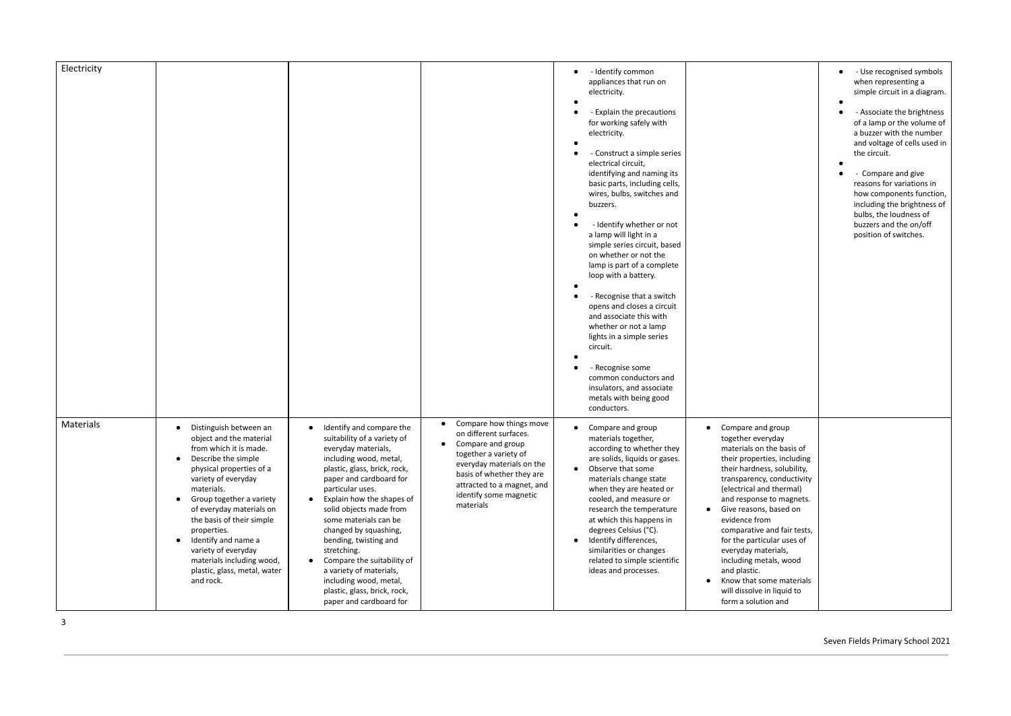| Electricity |                                                                                                                                                                                                                                                                                                                                                                                                                           |                                                                                                                                                                                                                                                                                                                                                                                                                                                                                                                                |                                                                                                                                                                                                                                             | - Identify common<br>appliances that run on<br>electricity.                                                                                                                                                                                                                                                                                                                                                                       |                                                                                                                                                                                                                                                                                                                                                                                                                                                                                                    | - Use recognised symbols<br>when representing a<br>simple circuit in a diagram.                                                                                                                         |
|-------------|---------------------------------------------------------------------------------------------------------------------------------------------------------------------------------------------------------------------------------------------------------------------------------------------------------------------------------------------------------------------------------------------------------------------------|--------------------------------------------------------------------------------------------------------------------------------------------------------------------------------------------------------------------------------------------------------------------------------------------------------------------------------------------------------------------------------------------------------------------------------------------------------------------------------------------------------------------------------|---------------------------------------------------------------------------------------------------------------------------------------------------------------------------------------------------------------------------------------------|-----------------------------------------------------------------------------------------------------------------------------------------------------------------------------------------------------------------------------------------------------------------------------------------------------------------------------------------------------------------------------------------------------------------------------------|----------------------------------------------------------------------------------------------------------------------------------------------------------------------------------------------------------------------------------------------------------------------------------------------------------------------------------------------------------------------------------------------------------------------------------------------------------------------------------------------------|---------------------------------------------------------------------------------------------------------------------------------------------------------------------------------------------------------|
|             |                                                                                                                                                                                                                                                                                                                                                                                                                           |                                                                                                                                                                                                                                                                                                                                                                                                                                                                                                                                |                                                                                                                                                                                                                                             | - Explain the precautions<br>for working safely with<br>electricity.                                                                                                                                                                                                                                                                                                                                                              |                                                                                                                                                                                                                                                                                                                                                                                                                                                                                                    | - Associate the brightness<br>of a lamp or the volume of<br>a buzzer with the number<br>and voltage of cells used in                                                                                    |
|             |                                                                                                                                                                                                                                                                                                                                                                                                                           |                                                                                                                                                                                                                                                                                                                                                                                                                                                                                                                                |                                                                                                                                                                                                                                             | - Construct a simple series<br>electrical circuit,<br>identifying and naming its<br>basic parts, including cells,<br>wires, bulbs, switches and<br>buzzers.<br>- Identify whether or not<br>a lamp will light in a<br>simple series circuit, based<br>on whether or not the<br>lamp is part of a complete<br>loop with a battery.<br>- Recognise that a switch                                                                    |                                                                                                                                                                                                                                                                                                                                                                                                                                                                                                    | the circuit.<br>- Compare and give<br>reasons for variations in<br>how components function,<br>including the brightness of<br>bulbs, the loudness of<br>buzzers and the on/off<br>position of switches. |
|             |                                                                                                                                                                                                                                                                                                                                                                                                                           |                                                                                                                                                                                                                                                                                                                                                                                                                                                                                                                                |                                                                                                                                                                                                                                             | opens and closes a circuit<br>and associate this with<br>whether or not a lamp<br>lights in a simple series<br>circuit.                                                                                                                                                                                                                                                                                                           |                                                                                                                                                                                                                                                                                                                                                                                                                                                                                                    |                                                                                                                                                                                                         |
|             |                                                                                                                                                                                                                                                                                                                                                                                                                           |                                                                                                                                                                                                                                                                                                                                                                                                                                                                                                                                |                                                                                                                                                                                                                                             | - Recognise some<br>common conductors and<br>insulators, and associate<br>metals with being good<br>conductors.                                                                                                                                                                                                                                                                                                                   |                                                                                                                                                                                                                                                                                                                                                                                                                                                                                                    |                                                                                                                                                                                                         |
| Materials   | Distinguish between an<br>object and the material<br>from which it is made.<br>Describe the simple<br>physical properties of a<br>variety of everyday<br>materials.<br>Group together a variety<br>$\bullet$<br>of everyday materials on<br>the basis of their simple<br>properties.<br>Identify and name a<br>$\bullet$<br>variety of everyday<br>materials including wood,<br>plastic, glass, metal, water<br>and rock. | Identify and compare the<br>$\bullet$<br>suitability of a variety of<br>everyday materials,<br>including wood, metal,<br>plastic, glass, brick, rock,<br>paper and cardboard for<br>particular uses.<br>Explain how the shapes of<br>$\bullet$<br>solid objects made from<br>some materials can be<br>changed by squashing,<br>bending, twisting and<br>stretching.<br>Compare the suitability of<br>$\bullet$<br>a variety of materials,<br>including wood, metal,<br>plastic, glass, brick, rock,<br>paper and cardboard for | Compare how things move<br>on different surfaces.<br>Compare and group<br>$\bullet$<br>together a variety of<br>everyday materials on the<br>basis of whether they are<br>attracted to a magnet, and<br>identify some magnetic<br>materials | Compare and group<br>materials together,<br>according to whether they<br>are solids, liquids or gases.<br>Observe that some<br>$\bullet$<br>materials change state<br>when they are heated or<br>cooled, and measure or<br>research the temperature<br>at which this happens in<br>degrees Celsius (°C).<br>Identify differences,<br>$\bullet$<br>similarities or changes<br>related to simple scientific<br>ideas and processes. | Compare and group<br>$\bullet$<br>together everyday<br>materials on the basis of<br>their properties, including<br>their hardness, solubility,<br>transparency, conductivity<br>(electrical and thermal)<br>and response to magnets.<br>• Give reasons, based on<br>evidence from<br>comparative and fair tests,<br>for the particular uses of<br>everyday materials,<br>including metals, wood<br>and plastic.<br>• Know that some materials<br>will dissolve in liquid to<br>form a solution and |                                                                                                                                                                                                         |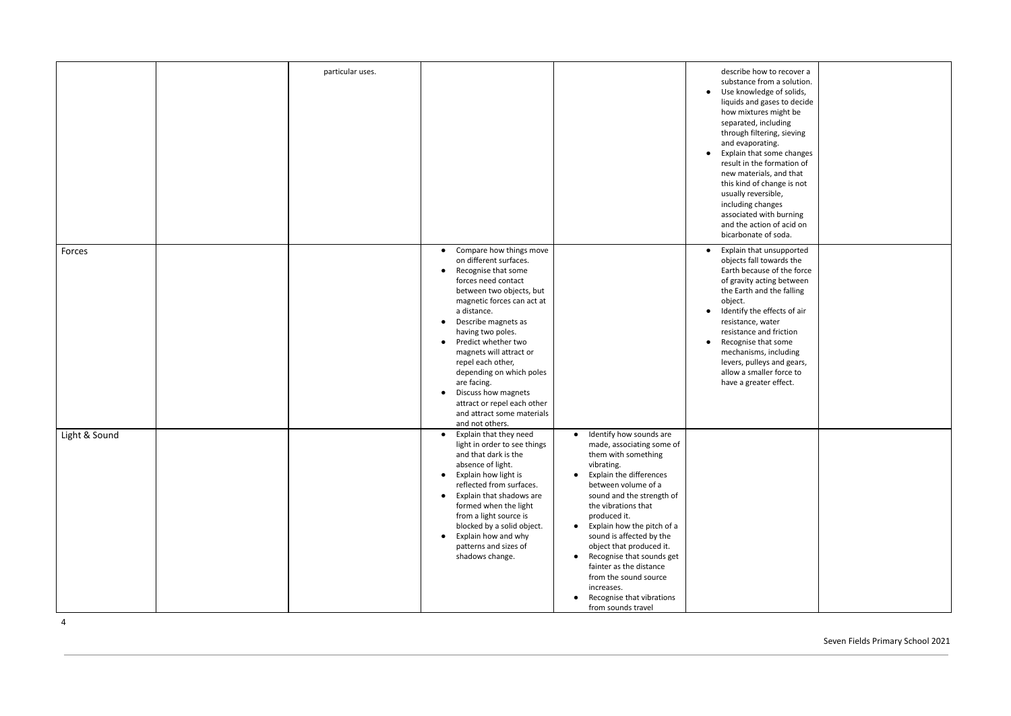|               | particular uses. |                                                                                                                                                                                                                                                                                                                                                                                                                                                                                                     |                                                                                                                                                                                                                                                                                                                                                                                                                                                                                                               | describe how to recover a<br>substance from a solution.<br>Use knowledge of solids,<br>$\bullet$<br>liquids and gases to decide<br>how mixtures might be<br>separated, including<br>through filtering, sieving<br>and evaporating.<br>• Explain that some changes<br>result in the formation of<br>new materials, and that<br>this kind of change is not<br>usually reversible,<br>including changes<br>associated with burning<br>and the action of acid on<br>bicarbonate of soda. |  |
|---------------|------------------|-----------------------------------------------------------------------------------------------------------------------------------------------------------------------------------------------------------------------------------------------------------------------------------------------------------------------------------------------------------------------------------------------------------------------------------------------------------------------------------------------------|---------------------------------------------------------------------------------------------------------------------------------------------------------------------------------------------------------------------------------------------------------------------------------------------------------------------------------------------------------------------------------------------------------------------------------------------------------------------------------------------------------------|--------------------------------------------------------------------------------------------------------------------------------------------------------------------------------------------------------------------------------------------------------------------------------------------------------------------------------------------------------------------------------------------------------------------------------------------------------------------------------------|--|
| Forces        |                  | • Compare how things move<br>on different surfaces.<br>Recognise that some<br>$\bullet$<br>forces need contact<br>between two objects, but<br>magnetic forces can act at<br>a distance.<br>Describe magnets as<br>$\bullet$<br>having two poles.<br>Predict whether two<br>$\bullet$<br>magnets will attract or<br>repel each other,<br>depending on which poles<br>are facing.<br>Discuss how magnets<br>$\bullet$<br>attract or repel each other<br>and attract some materials<br>and not others. |                                                                                                                                                                                                                                                                                                                                                                                                                                                                                                               | Explain that unsupported<br>$\bullet$<br>objects fall towards the<br>Earth because of the force<br>of gravity acting between<br>the Earth and the falling<br>object.<br>Identify the effects of air<br>$\bullet$<br>resistance, water<br>resistance and friction<br>Recognise that some<br>$\bullet$<br>mechanisms, including<br>levers, pulleys and gears,<br>allow a smaller force to<br>have a greater effect.                                                                    |  |
| Light & Sound |                  | Explain that they need<br>$\bullet$<br>light in order to see things<br>and that dark is the<br>absence of light.<br>Explain how light is<br>$\bullet$<br>reflected from surfaces.<br>Explain that shadows are<br>$\bullet$<br>formed when the light<br>from a light source is<br>blocked by a solid object.<br>Explain how and why<br>$\bullet$<br>patterns and sizes of<br>shadows change.                                                                                                         | • Identify how sounds are<br>made, associating some of<br>them with something<br>vibrating.<br>Explain the differences<br>$\bullet$<br>between volume of a<br>sound and the strength of<br>the vibrations that<br>produced it.<br>Explain how the pitch of a<br>$\bullet$<br>sound is affected by the<br>object that produced it.<br>Recognise that sounds get<br>$\bullet$<br>fainter as the distance<br>from the sound source<br>increases.<br>Recognise that vibrations<br>$\bullet$<br>from sounds travel |                                                                                                                                                                                                                                                                                                                                                                                                                                                                                      |  |

4